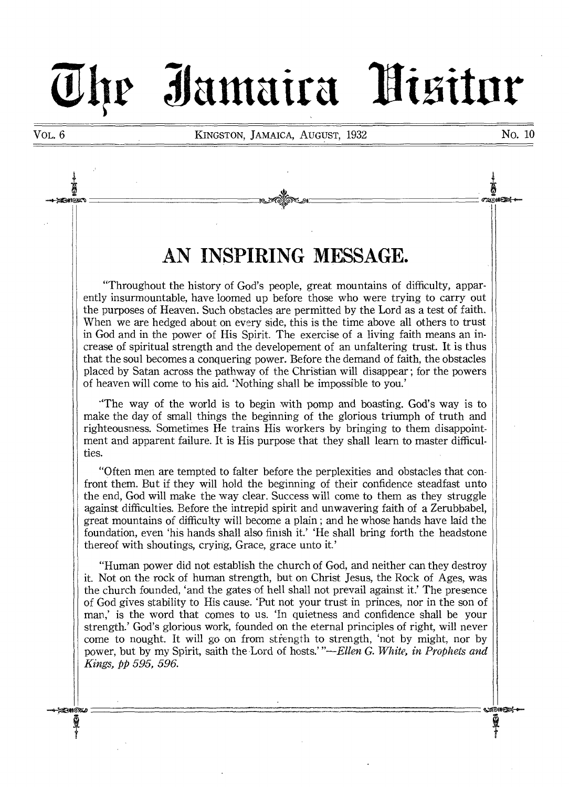# **3iantaira**

VOL. 6 **KINGSTON, JAMAICA, AUGUST,** 1932 **No. 10** 

ё ຘຓໟໟ౾

ணை⇔

Q<br>\*

# **AN INSPIRING MESSAGE.**

"Throughout the history of God's people, great mountains of difficulty, apparently insurmountable, have loomed up before those who were trying to carry out the purposes of Heaven. Such obstacles are permitted **by the Lord** as a test of faith. When we are hedged about on every side, this is the time above all others to trust in God and in the power of His Spirit. The exercise of a living faith means an increase of spiritual strength and the developement of an unfaltering trust. It is thus that the soul becomes a conquering power. Before the demand of faith, the obstacles placed by Satan across the pathway of the Christian will disappear ; for the powers of heaven will come to his aid. 'Nothing shall be impossible to you.'

"The way of the world is to begin with pomp and boasting. God's way is to make the day of small things the beginning of the glorious triumph of truth and righteousness. Sometimes He trains His workers by bringing to them disappointment and apparent failure. It is His purpose that they shall learn to master **difficulties.** 

"Often men are tempted to falter before the perplexities and obstacles that confront them. But if they will hold the beginning of their confidence steadfast unto the end, God will make the way clear. Success will come to them as they struggle against difficulties. Before the intrepid spirit and unwavering faith of a Zerubbabel, great mountains of difficulty will become a plain ; and he whose hands have laid the foundation, even 'his hands shall also finish it.' He shall bring forth the headstone thereof with shoutings, crying, Grace, grace unto it.'

"Human power did not establish the church of God, and neither can they destroy it. Not on the rock of human strength, but on Christ Jesus, the Rock **of Ages,** was the church founded, 'and the gates of hell shall not prevail against it.' The presence of God gives stability to His cause. 'Put not your trust in princes, nor in the son of man,' is the word that comes to us. 'In quietness and confidence shall be your strength.' God's glorious work, founded on the eternal principles of right, will never come to nought. It will go on from strength to strength, 'not by might, nor by power, but by my Spirit, saith the Lord of hosts.' *"—Ellen G. White, in Prophets and Kings, pp 595, 596.* 

ð

உை∗ை

Ī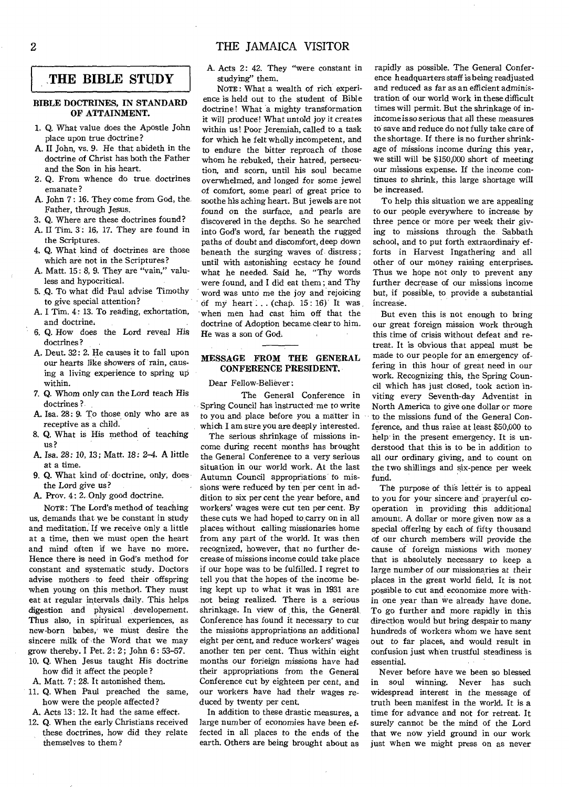# **THE BIBLE STUDY**

# **BIBLE DOCTRINES, IN STANDARD OF ATTAINMENT.**

- 1. Q. What value does the Apostle John place upon true doctrine?
- A. II John, vs. 9. He that abideth in the doctrine of Christ has both the Father and the Son in his heart.
- 2. Q. From whence do true, doctrines emanate ?
- A. John 7 : 16. They come from God, the, Father, through Jesus.
- 3. Q. Where are these doctrines found?
- A. II Tim. 3': 16, 17. They are found in the Scriptures.
- 4. Q. What kind of doctrines are those which are not in the Scriptures?
- A. Matt. 15: 8, 9. They are "vain," valuless and hypocritical.
- 5. Q. To what did Paul advise Timothy to give special attention?
- A. I Tim. 4: 13. To reading, exhortation, and doctrine.
- **6. Q.** How does the Lord reveal His doctrines?
- A. Deut. 32: 2. He causes it to fall upon our hearts like showers *of* rain, causing a living experience to spring up within.
- 7. Q. Whom only can the Lord teach His doctrines ?
- A. Isa. 28: 9. To those only who are as receptive as a child.
- 8. Q. What is His method of teaching us?
- A. Isa. 28: 10, 13; Matt. 18: 2-4. A little at a time.
- 9. Q. What kind of doctrine, only, does the Lord give us?
- A. Prov. 4: 2. Only good doctrine.

NOTE: The Lord's method of teaching us, demands that we be constant in study and meditation. If we receive only a little at a time, then we must open the heart and mind often if we have no more. Hence there is need in God's method for constant and systematic study. Doctors advise mothers •to feed their offspring when young on this method. They must eat at regular intervals daily. This helps digestion and physical developement. **Thus also,** in spiritual experiences, as new-born babes,' we must desire the sincere milk of the Word that we may grow thereby. I Pet. 2 : 2 ; John 6 : 53-57.

- 10. Q. When Jesus taught His doctrine how did it affect the people ?
- A. Matt. 7: 28. It astonished them.
- 11. Q. When Paul preached the same, how were the people affected ?
- A. Acts 13: 12. It had the same effect.
- 12. Q. When the early Christians received these doctrines, how did they relate themselves to them ?

A. Acts 2: 42. They "were constant in studying" them.

NOTE: What a wealth of rich experience is held out to the student of Bible doctrine! What a mighty transformation it will produce! What untold joy it creates within us! Poor Jeremiah, called to a task for which he felt wholly incompetent, and to endure the bitter reproach of those whom he rebuked, their hatred, persecution, and scorn, until his soul became overwhelmed, and longed for *some* jewel of comfort, some pearl of great price to soothe his aching heart. But jewels are not found on the surface, and pearls are discovered in the depths. So he searched into God's word, far beneath the rugged paths of doubt and discomfort, deep down beneath the surging waves of distress; until with astonishing ecstacy he found what he needed. Said he, "Thy words were found, and I did eat them ; and Thy word was unto me the joy and rejoicing of my heart ...  $(charp. 15:16)'$  It was when men had cast him off that the doctrine of Adoption became clear to him. He was a son of God.

# **MESSAGE FROM THE GENERAL CONFERENCE PRESIDENT.** .

Dear Fellow-Believer :

The General Conference in Spring Council has instructed me to write to you and place before you a matter in which I am sure you are deeply interested.

The serious shrinkage of missions income during recent months has brought the General Conference to a very serious situation in our world work. At the last Autumn Council appropriations to missions were reduced by ten per cent in addition to six per cent the year before, and workers' wages were cut ten per cent. By these cuts we had hoped to carry on in all places without calling missionaries home from any part of the world. It was then recognized, however, that no further decrease of missions income could take place if our hope was to be fulfilled. I regret to tell you that the hopes of the income being kept up to what it was in 1931 are not being realized. There is a serious shrinkage. In view of this, the General Conference has found it necessary to cut the missions appropriations an additional eight per cent, and reduce workers' wages another ten per cent. Thus within eight months our forieign *missions* have had their appropriations from the General Conference cut by eighteen per cent, and our workers have had their wages reduced by twenty per cent.

In addition to these drastic measures, a large number of economies have been effected in all places to the ends of the earth. Others are being brought about as

rapidly as possible. The General Conference headquarters staff is being readjusted and reduced as far as an efficient administration of our world work in these difficult times will permit. But the shrinkage of in*income is so serious* that all these measures to save and reduce do not fully take care of the shortage. If there is no further shrinkage of missions income during this year, we still will be \$150,000 short of meeting our missions expense. If the income continues to shrink, this large shortage will be increased.

To help this situation we are appealing to our people everywhere to increase by three pence or more per week their giving to missions through the Sabbath school, and to put forth extraordinary efforts in Harvest Ingathering and all other of our money raising enterprises. Thus we hope not only to prevent any further decrease of our missions income but, if possible, to provide a substantial increase.

But even this is not enough to bring our great foreign mission work through this time of crisis without defeat and retreat. It is obvious that appeal must be made to our people for an emergency offering in this hour of great need in our work. Recognizing this, the Spring Council which has just closed, took action inviting every Seventh-day Adventist in North America to give one dollar or more to the missions fund of the General Conference, and thus raise at least \$50,000 to help in the present emergency. It is understood that this is to be in addition to all our ordinary giving, and to count on the two shillings and six-pence per week fund.

The purpose of this letter is to appeal to you for your sincere and' prayerful cooperation in providing this additional amount. A dollar or more given now as a special offering by each of fifty thousand of our church members will *provide* the cause of foreign missions with money that is absolutely necessary to keep a large number of our *missionaries* at their places in the great world field. It is not possible to cut and economize more within one year than we already have done. To go further and more rapidly in this direction would but bring despair to many hundreds of workers whom we have sent out to far places, and would result in confusion just when trustful steadiness is essential.

Never before have we been so blessed in soul winning. Never has such widespread interest in the message of truth been manifest in the world. It is a time for advance and not for retreat. It surely cannot be the mind of the Lord that we now yield ground in our work just when we might press on as never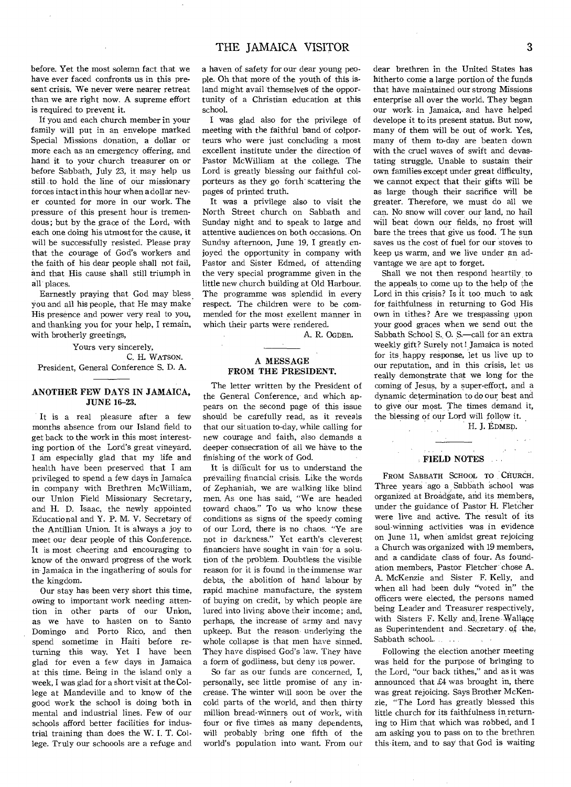before. Yet the most solemn fact that we have ever faced confronts us in this present crisis. We never were nearer retreat than we are right now. A supreme effort is required to prevent it.

If you and each church member in your family will put in an envelope marked Special Missions donation, a dollar or more each as an emergency offering, and hand it to your church treasurer on or before Sabbath, July 23, it may help us still to hold the line of our missionary forces intact in this hour when a dollar never counted for more in our work. The pressure of this present hour is tremendous ; but by the grace of the Lord, with each one doing his utmost for the cause, it will be successfully resisted. Please pray that the courage of God's workers and the faith of his dear people shall not fail, and that His cause shall still triumph in all places.

Earnestly praying that God may bless. you and all his people, that He may make His presence and power very real to you, and thanking you for your help, I remain, with brotherly greetings,

Yours very sincerely, C. H. WATSON. President, General Conference S. D. A.

# ANOTHER FEW DAYS IN JAMAICA, JUNE 16-23.

It is a real pleasure after a few months absence from our Island field to get back to the work in this most interesting portion of the Lord's great vineyard. I am especially glad that my life and health have been preserved that I am privileged to spend a few days in Jamaica in company with Brethren McWilliam, our Union Field Missionary Secretary, and H. D. Isaac, the newly appointed Educational and Y. P. M. V. Secretary of the Antillian Union. It is always a joy to meet our dear people of this Conference. It is most cheering and encouraging to know of the onward progress of the work in Jamaica in the ingathering of souls for the kingdom.

Our stay has been very short this time, owing to important work needing attention in other parts of our Union, as we have to hasten on to Santo Domingo and Porto Rico, and then spend sometime in Haiti before returning this way. Yet I have been glad for even a few days in Jamaica at this time. Being in the island only a week, I was glad for a short visit at the College at Mandeville and to know of the good work the school is doing both in mental and industrial lines. Few of our schools afford better facilities for industrial training than does the W. I. T. College. Truly our schoools are a refuge and a haven of safety for our dear young people. Oh that more of the youth of this island might avail themselves of the opportunity of a Christian education at this school.

I was glad also for the privilege of meeting with the faithful band of colporteurs who were just concluding a most excellent institute under the direction of Pastor McWilliam at the college. The Lord is greatly blessing our faithful colporteurs as they go forth' scattering the pages of printed truth.

It was a privilege also to visit the North Street church on Sabbath and Sunday night and to speak to large and attentive audiences on both occasions. On Sunday afternoon, June 19, I greatly enjoyed the opportunity in company with Pastor and Sister Edmed, of attending the very special programme given in the little new church building at Old Harbour. The programme was splendid in every respect. The children were to be commended for the most exellent manner in which their parts were rendered.

A. R. OGDEn.

# A **MESSAGE FROM THE PRESIDENT.**

The letter written by the President of the General Conference, and which appears on the second page of this issue should be carefully read, as it reveals that our situation to-day, while calling for new courage and faith, also demands a deeper consecration of all we have to the finishing of the work of God.

It is difficult for us to understand the prevailing financial crisis. Like the words of Zephaniah, we are walking like blind men. As one has said, "We are headed toward chaos." To us who know these conditions as signs of the speedy coming of our Lord, there is no chaos. "Ye are not in darkness." Yet earth's cleverest financiers have sought in vain for a solution of the problem. Doubtless the visible reason for it is found in the immense war debts, the abolition of hand labour by rapid machine manufacture, the system of buying on credit, by which people are lured into living above their income; and, perhaps, the increase of army and navy upkeep. But the reason underlying the whole collapse is that men have sinned. They have dispised God's law. They have a form of godliness, but deny its power.

So far as our funds are concerned, I, personally, see little promise of any increase. The winter will soon be over the cold parts of the world, and then thirty million bread-winners out of work, with four or five times as many dependents, will probably bring one fifth of the world's population into want. From our dear brethren in the United States has hitherto come a large portion of the funds that have maintained our strong Missions enterprise all over the world. They began our work in Jamaica, and have helped develope it to its present status. But now, many of them will be out of work. Yes, many of them to-day are beaten down with the cruel waves of swift and devastating struggle. Unable to sustain their own families except under great difficulty, we cannot expect that their gifts will be as large though their sacrifice will be greater. Therefore, we must do all we can. No snow will cover our land, no hail will beat down our fields, no frost will bare the trees that give us food. The sun saves us the cost of fuel for our stoves to keep us warm, and we live under an advantage we are apt to forget.

Shall we not then respond heartily to the appeals to come up to the help of the Lord in this crisis? Is it too much to ask for faithfulness in returning to God His own in tithes? Are we trespassing upon your good graces when we send out the Sabbath School S. 0. S.—call for an extra weekly gift? Surely not! Jamaica is noted for its, happy response, let us live up to our reputation, and in this crisis, let us really demonstrate that we long for the coming of Jesus, by a super-effort, and a dynamic determination to do our best and to give our most. The times demand it, the blessing of our Lord will follow it. H. J. EDMED.

**FIELD NOTES .** 

FROM SABBATH SCHOOL TO CHURCH. Three years ago a Sabbath 'school was organized at Broadgate, and its members, under the guidance of Pastor H. Fletcher were live and active. The result of its soul-winning activities was in evidence on June 11, when amidst great rejoicing a Church was organized with 19 members, and a candidate class of four. As foundation members, Pastor Fletcher' chose A. A. McKenzie and Sister F. Kelly, and when all had been duly "voted in" the officers were elected, the persons named being Leader and Treasurer respectively, with Sisters F. Kelly and;Irene Wallage as Superintendent and. Secretary. of the, Sabbath school.......

Following the election another meeting was held for the purpose of bringing to the Lord, "our back tithes," and as it was announced that £4 was brought in, there was great rejoicing. Says Brother McKenzie, "The Lord has greatly blessed this little church for its faithfulness in returning to Him that which was robbed, and I am asking you to pass on to the brethren this item, and to say that God is waiting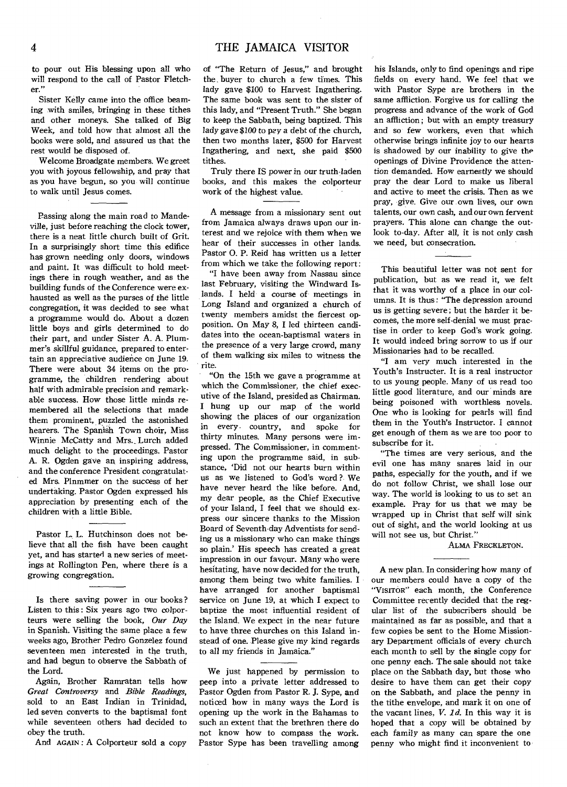to pour out His blessing upon all who will respond to the call of Pastor Fletcher."

Sister Kelly came into the office beaming with smiles, bringing in these tithes and other moneys. She talked of Big Week, and told how that almost all the books were sold, and assured us that the rest would be disposed of.

Welcome Broadgate members. We greet you with joyous fellowship, and pray that as you have begun, so you will continue to walk until Jesus comes.

Passing along the main road to Mandeville, just before reaching the clock tower, there is a neat little church built of Grit. In a surprisingly short time this edifice has grown needing only doors, windows and paint. It was difficult to hold meetings there in rough weather, and as the building funds of the Conference were exhausted as well as the purses of the little congregation, it was decided to see what a programme would do. About a dozen little boys and girls determined to do their part, and under Sister A. A. Plummer's skillful guidance, prepared to entertain an appreciative audience on June 19. There were about 34 items on the programme, the children rendering about half with admirable precision and remarkable success. How those little minds remembered all the selections that made them prominent, puzzled the astonished hearers. The Spanish Town choir, Miss Winnie McCatty and Mrs.\_ Lurch added much delight to the proceedings. Pastor A. R. Ogden gave an inspiring address, and the conference President congratulated Mrs. Plnmmer on the success of her undertaking. Pastor Ogden expressed his appreciation by presenting each of the children with a little Bible.

Pastor L. L. Hutchinson does not believe that all the fish have been caught yet, and has started a new series of meetings at Rollington Pen, where there is a growing congregation.

Is there saving power in our books ? Listen to this: Six years ago two colporteurs were selling the book, *Our Day*  in Spanish. Visiting the same place a few weeks ago, Brother Pedro Gonzelez found *seventeen* men interested in the truth, and had begun to observe the Sabbath of the Lord.

Again, Brother Ramratan tells how *Great Controversy* and *Bible Readings,*  sold to an East Indian in Trinidad, led seven converts to the baptismal font while seventeen others had decided to obey the truth.

And AGAIN : A Colporteur sold a copy

of "The Return of Jesus," and brought the. buyer to church a few times. This lady gave \$100 to Harvest Ingathering. The same book was sent to the sister of this lady, and "Present Truth." She began to keep the Sabbath, being baptized. This lady gave \$100 to pay a debt of the church, then two months later, \$500 for Harvest Ingathering, and next, she paid \$500 tithes.

Truly there IS power in our truth-laden books, and this makes the colporteur work of the highest value.

A message from a missionary sent out from Jamaica always draws upon our interest and we rejoice with them when we hear of their successes in other lands. Pastor 0. P. Reid has written us a letter from which we take the following report:

"I have been away from Nassau since last February, visiting the Windward Islands. I held a course of meetings in Long Island and organized a church of twenty members amidst the fiercest opposition. On May 8, I led thirteen candidates into the ocean-baptismal waters in the presence of a very large *crowd,* many of them walking six miles to witness the rite.

"On the 15th we gave a programme at which the Commissioner, the chief executive of the Island, presided as Chairman. I hung up our map of the world showing the places of our organization in every. country, and spoke for thirty minutes. Many persons were impressed. The Commissioner, in commenting upon the programme said, in substance, 'Did not our hearts burn within us as we listened to God's word ? We have never heard the like before. And, my dear people, as the Chief Executive of your Island, I feel that we should express our sincere thanks to the Mission Board of Seventh-day Adventists for sending us a missionary who can make things so plain.' His speech has created a great impression in our favour. Many who were hesitating, have now decided for the truth, among them being two white families. I have arranged for another baptismal service on June 19, at which I expect to baptize the most influential resident of the Island. We expect in the near future to have three churches on this Island instead of one. Please give my kind regards to all my friends in Jamaica."

We just happened by permission to peep into a private letter addressed to Pastor Ogden from Pastor *R.* J. Sype, and noticed how in many ways the Lord is opening up the work in the Bahamas to such an extent that the brethren there do not know how to compass the work. Pastor Sype has been travelling among

his Islands, only to find openings and ripe fields on every hand. We feel that we with Pastor Sype are brothers in the same affliction. Forgive us for calling the progress and advance of the work of God an affliction ; but with an empty treasury and so few workers, even that which otherwise brings infinite joy to our hearts is shadowed by our inability to give the openings of Divine Providence the attention demanded. How earnestly we should pray the dear Lord to make us liberal and active to meet the crisis. Then as we pray, give. Give our own lives, our own talents, our own cash, and our own fervent prayers. This alone can change the outlook to-day. After all, it is not only cash we need, but consecration.

This beautiful letter was not sent for publication, but as we read it, we felt that it was worthy of a place in our columns. It is thus: "The depression around us is getting severe; but the harder it becomes, the more self-denial we must practise in order to keep God's work going. It would indeed bring sorrow to us if our Missionaries had to be recalled.

"I am very much interested in the Youth's Instructer. It is a real instructor to us young people. Many of us read too little good literature, and our minds are being poisoned with worthless novels. One who is looking for pearls will find them in the Youth's Instructor. I cannot get enough of them as we are too poor to subscribe for it.

"The times are very serious, and the evil one has many snares laid in our paths, especially for the youth, and if we do not follow Christ, we shall lose our way. The world is looking to us to set an example. Pray for us that we may be wrapped up in Christ that self will sink out of sight, and the world looking at us will not see us, but Christ."

ALMA FRECKLETON.

A new plan. In considering how many of our members could have a copy of the "VISITOR" each month, the Conference Committee recently decided that the regular list of the subscribers should be maintained as far as possible, and that a few copies be sent to the Home Missionary Department officials of every church each month to sell by the single copy for one penny each. The sale should not take place on the Sabbath day, but those who desire to have them can get their copy on the Sabbath, and place the penny in the tithe envelope, and mark it on one of the vacant lines, *V. id.* In this way it is hoped that a copy will be obtained by each family as many can spare the one penny who might find it inconvenient to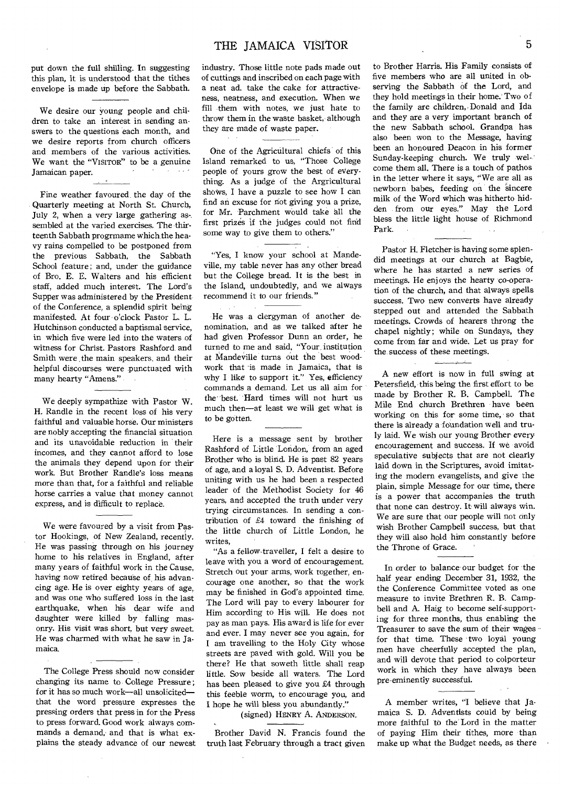put down the full shilling. In suggesting this plan, it is understood that the tithes envelope is made up before the Sabbath.

We desire our young people and children to take an interest in sending answers to the questions each month, and we desire reports from church officers and members of the various activities. We want the "VISITOR" to be a genuine Jamaican paper.

Fine weather favoured the day of the Quarterly meeting at North St. Church, July 2, when a very large gathering as-. sembled at the varied exercises. The thirteenth Sabbath progrmame which the heavy rains compelled to be postponed from the previous Sabbath, the Sabbath School feature; and, under the guidance of Bro. E. E. Walters and his efficient staff, added much interest. The Lord's Supper was administered by the President of the Conference, a splendid spirit being manifested. At four o'clock Pastor L. L. Hutchinson conducted a baptismal service, in which five were led into the waters of witness for Christ. Pastors Rashford, and Smith were the main speakers, and their helpful discourses were punctuated with many hearty "Amens."

We deeply sympathize with Pastor W. H. Randle in the recent loss of his very faithful and valuable horse. Our ministers are nobly accepting the financial situation and its unavoidable reduction in their incomes, and they cannot afford to lose the animals they depend upon for their work. But Brother Randle's loss means more than that, for a faithful and reliable horse carries a value that money cannot express, and is difficult to replace.

We were favoured by a visit from Pastor Hookings, of New Zealand, recently. He was passing through on his journey home to his relatives in England, after many years of faithful work in the Cause, having now retired because of, his advancing age. He is over eighty years of age, and was one who suffered loss in the last earthquake, when his dear wife and daughter were killed by falling masonry. His visit was short, but very sweet. He was charmed with what he saw in Jamaica.

The College Press should now consider changing its name to College Pressure ; for it has so much work—all unsolicited that the word pressure expresses the pressing orders that press in for the Press to press forward. Good work always commands a demand, and that is what explains the steady advance of our newest

industry. Those little note pads made out of cuttings and inscribed on each page with a neat ad. take the cake for attractiveness, neatness, and execution. When we fill them with notes, we just hate to throw them in the waste basket, although they are made of waste paper.

One of the Agricultural chiefs of this Island remarked to us, "Those College people of yours grow the best of everything. As a judge of the Argricultural shows, I have a puzzle to see how I can find an excuse for not giving you a prize, for Mr. Parchment would take all the first prize's if the judges could not find some way to give them to others."

"Yes, I know your school at Mandeville, my table never has any other bread but the College bread. It is the best in the Island, undoubtedly, and we always recommend it to our friends."

He was a clergyman of another denomination, and as we talked after he had given Professor Dunn an order, he turned to me and said, "Your\_ institution at Mandeville turns out the best woodwork that 'is made in Jamaica, that is why I like to support it." Yes, efficiency commands a demand. Let us all aim for the' best. Hard times will not hurt 'us much then—at least we will get what is to be gotten.

Here is a message sent by brother Rashford of Little London, from an aged Brother who is blind. He is past 82 years of age, and a loyal S. D. Adventist. Before uniting with us he had been a respected leader of the Methodist Society for 46 years, and accepted the truth under very trying circumstances. In sending a contribution of £4 toward the finishing of the little church of Little London, he writes,

"As a fellow-traveller, I felt a desire to leave with you a word of encouragement. Stretch out your arms, work together, encourage one another, so that the work may be finished in God's appointed time. The Lord will pay to every labourer for Him according to His will. He does not pay as man pays. His award is life for ever and ever. I may never see you again, for I am travelling to the Holy City whose streets are paved with gold. Will you be there? He that soweth little shall reap little. Sow beside all waters. The Lord has been pleased to give you £4 through this feeble worm, to encourage you, and I hope he will bless you abundantly."

(signed) HENRY A. ANDERSON.

Brother David N. Francis found the truth last February through a tract given

to Brother Harris. His Family consists of five members who are all united in observing the Sabbath of the Lord, and they hold meetings in their home.' Two of the family are children, Donald and Ida and they are a very important branch of the new Sabbath school. Grandpa has also been won to the Message, having been an honoured Deacon in his former Sunday-keeping church. We truly welcome them all. There is a touch of pathos in the letter where it says, "We are all as newborn babes, feeding on the sincere milk of the Word which was hitherto hidden from our eyes." May the Lord bless the little light house of Richmond Park.

Pastor H. Fletcher is having some splendid meetings at our church at Bagbie, where he has started a new series of meetings. He enjoys the hearty co-operation of the church, and that always spells success. Two new converts have already stepped out and attended the Sabbath meetings. Crowds of hearers throng the chapel nightly; while on Sundays, they come from far and wide. Let us pray for the, success of these meetings.

A new effort is now in full swing at Petersfield, this being the first effort to be made by Brother R. B. Campbell. The Mile End church Brethren have been working on this for some time, so that there is already a foundation well and truly laid. We wish our young Brother every encouragement and success. If we avoid speculative subjects that are not clearly laid down in the Scriptures, avoid imitating the modern evangelists, and give the plain, simple Message for our time, there is a power that accompanies the truth that none can destroy. It will always win. We are sure that our people will not only wish Brother Campbell success, but that they will also hold him constantly before the Throne of Grace.

In order to balance our budget for the half year ending December 31, 1932, the the Conference Committee voted as one measure to invite Brethren R. B. Campbell and A. Haig to become self-supporting for three months, thus enabling the Treasurer to save the sum of their wages for that time. These two loyal young men have cheerfully accepted the plan, and will devote that period to colporteur work in which they have always been pre-eminently successful.

A member writes, "I believe that Jamaica S. D. Adventists could by being more faithful to the Lord in the matter of paying Him their tithes, more than make up what the Budget needs, as there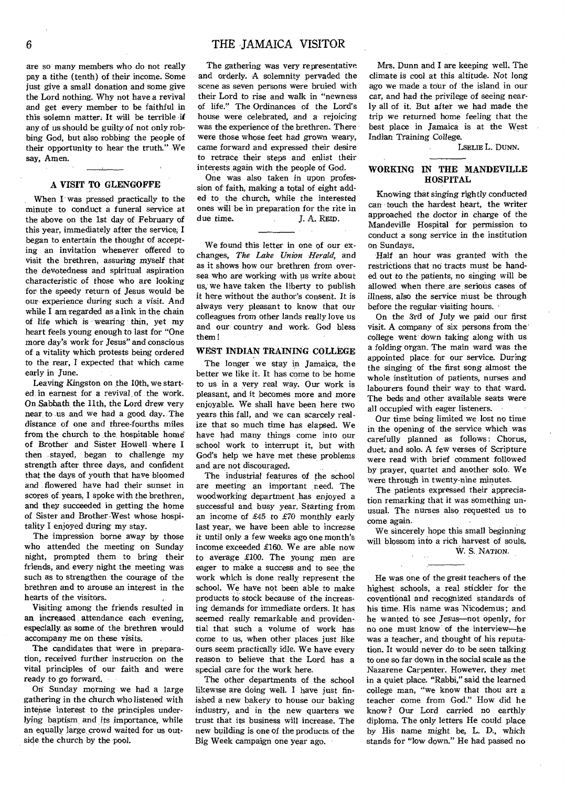are so many members who do not really pay a tithe (tenth) of their income. Some just give a small donation and some give the Lord nothing. Why not have a revival and get every member to be faithful in this solemn matter. It will be terrible if any of us should be guilty of not only robbing God, but also robbing the people of their opportunity to hear the truth." We say, Amen.

### **A VISIT TO GLENGOFFE**

When I was pressed practically to the minute to conduct a funeral service at the above on the 1st day of February of this year, immediately after the service, I began to entertain the thought of accepting an invitation whenever offered to visit the brethren, assuring myself that the devotedness and spiritual aspiration characteristic of those who are looking for the speedy return of Jesus would be our experience during such a visit. And while I am regarded as a link in the chain of life which *is wearing* thin, yet my heart feels young enough to last for "One more day's work for Jesus" and conscious of a vitality which protests being ordered to the rear, I expected that which came early in June.

Leaving Kingston on the 10th, we started in earnest for a revival, of the work. On Sabbath the 11th, the Lord drew very near, to us and we had a good day. The distance of one and three-fourths miles from the church to the hospitable home of Brother and Sister Howell where I then •stayed, began to challenge my strength after three days, and confident that the days of youth that have bloomed and flowered have had their sunset in scores of. years, I spoke with the brethren, and they succeeded in getting the home of Sister and Brother West whose hospitality I enjoyed during my stay.

The impression borne away by those who attended the meeting on Sunday night, prompted them to bring their friends, and every night the meeting was such as to strengthen the courage of the brethren and to arouse an interest in the hearts of the visitors.

Visiting among the friends resulted in an increased, attendance each *evening,*  especially, as some of the brethren would accompany me on these *visits.* 

The candidates that were in preparation, received further instruction on the vital principles of our faith and were ready to go *forward.* 

On Sunday morning we had a large gathering in the church who listened with intense interest to the principles underlying baptism, and its importance, while an equally large crowd waited for us outside the church by the pool.

The gathering was very representative and orderly. A solemnity pervaded the scene as seven persons were bruied with their Lord to rise and walk in "newness of life." The Ordinances of the Lord's house were celebrated, and a rejoicing was the experience of the brethren. There were those whose feet had grown weary, came forward and expressed their desire to retrace their steps and enlist their interests again with the people of God.

One was also taken in upon profession of faith, making a total of eight added to the church, while the interested ones will be in preparation for the rite in due *time.* **I. A. REID.** 

We found this letter in one of our exchanges, *The Lake Union Herald,* and as it shows how our brethren from oversea who are working with us write about us, We have taken the liberty to publish it here without the' author's consent. It *is*  always very pleasant to know that our colleagues from other lands really love us and our country and work. God bless them!

# **WEST INDIAN TRAINING COLLEGE**

The longer we stay in Jamaica, the better we like it. It has come to be home to us in a very real way. Our work is pleasant, and it becomes more and more enjoyable. We shall have been here two years this fall, and we can scarcely realize that so much time has elapsed. We have had many things come into our school work to interrupt it, but with God's help we have met these problems and are not discouraged.

The industrial features of the school are meeting an important need. The woodworking department has enjoyed a successful and busy year. Starting from an income of £45 to £70 monthly early last year, we have been able to increase it until only a *few* weeks ago one month's income exceeded £160. We are able now to average £100. The young men are eager to make a success and to see the work which is done really represent the school. We have not been able to make products to stock because of the increasing demands for immediate orders. It has seemed really remarkable and providential that such a volume of work has come to us, when other places just like ours seem practically idle. We have every reason to believe that the Lord has a special care for the work here.

The other departments of the school likewise are doing well. I have just finished a new bakery to house our baking industry, and in the new quarters we trust that its business will increase. The new building is one of the products of the Big Week campaign one year ago.

Mrs. Dunn and I are keeping well. The climate *is* cool at this altitude. Not long ago we made a tour of the island in our car, and had the privilege of seeing nearly all of it. But after we had made the trip we returned home feeling that the best place in Jamaica is at the West Indian Training College.

LSELIE L. DUNN.

# **WORKING IN THE MANDEVILLE HOSPITAL**

Knowing that singing rightly conducted can touch the hardest heart, the writer approached the doctor in charge of the Mandeville Hospital for permission to conduct a *song* service in the institution on Sundays.

Half an hour was granted with the restrictions that no tracts must be handed out to the patients, no singing will be allowed when there are serious cases of *illness,* also the service must be through before the regular visiting hours.

On the 3rd of July we paid our first visit. A company of six persons from the' college went down taking along with us a folding organ. The main ward was the appointed place, for our' service. During the singing of the first song almost the whole institution of patients, nurses and labourers found their way to that ward. The beds and other available seats were all occupied with eager, listeners.

Our time being limited we lost no time in the opening of the service which was carefully planned as follows: Chorus, duet; and solo. A few verses of Scripture were read with brief comment followed by prayer, quartet and another solo. We were through in twenty-nine minutes.

The patients expressed their appreciation remarking that it was something unusual. The nurses also requested us to come again.

We sincerely hope this small beginning will blossom into a rich harvest of souls. W. S. NATION.

He was one of the great teachers of the highest schools, a real stickler for the coventional and recognized standards of his time. His name was Nicodemus ; and he wanted to see Jesus—not openly, for no one must know of the interview—he was a teacher, and thought of his reputation. It would never do to be seen talking to one so far down in the social scale as the Nazarene Carpenter. However, they met in a quiet place. "Rabbi," said the learned college man, "we know that thou art a teacher come from God." How did he know? Our Lord carried no earthly diploma. The only letters He could place by His name might be, L. D., which stands for "low down." He had passed no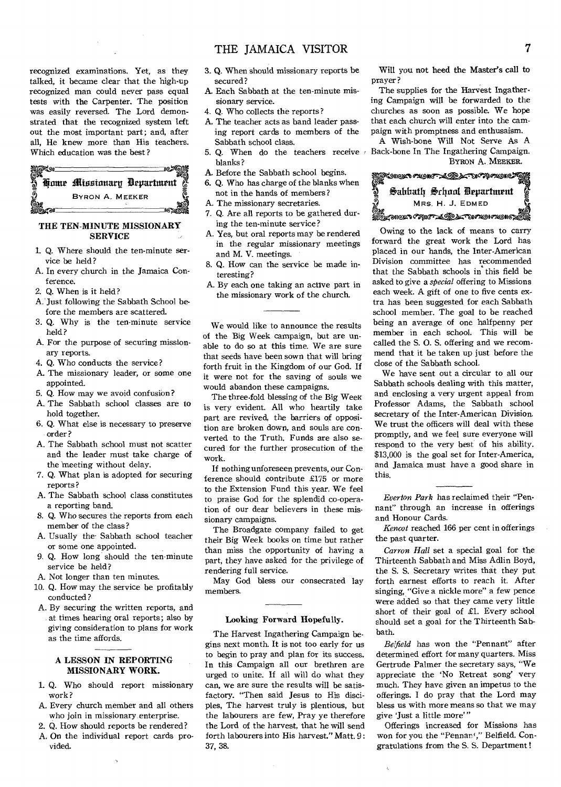recognized examinations. Yet, as they talked, it became clear that the high-up recognized man could never pass equal tests with the Carpenter. The position was easily reversed. The Lord demonstrated that the recognized system left out the most important part; and, after all, He knew more than His teachers. Which education was the best ?



# THE TEN-MINUTE MISSIONARY SERVICE

- 1. Q. Where should the ten-minute service be held ?
- A. In every church in the Jamaica Conference.
- 2. Q. When is it held?
- A. Just following the Sabbath School before the members are scattered.
- 3. Q. Why is the ten-minute service held?
- A. For the purpose of securing missionary reports.
- 4. Q. Who conducts the service?
- A. The missionary leader, or some one appointed.
- 5. Q. How may we avoid confusion?
- A. The Sabbath school classes are to hold together.
- 6. Q. What else is necessary to preserve order ?
- A. The Sabbath school must not scatter and the leader must take charge of the meeting without delay.
- 7. Q. What plan is adopted for securing reports ?
- A. The Sabbath school class constitutes a reporting band.
- 8. Q. Who secures the reports from each member of the class?
- A. Usually the. Sabbath school teacher or some one appointed.
- 9. Q. How long should the ten-minute service be held?
- A. Not longer than ten minutes.
- 10. Q. How may the service be profitably conducted?
- A. By securing the written reports, and at times hearing oral reports; also by giving consideration to plans for work as the time affords.

# A LESSON IN REPORTING MISSIONARY WORK.

- 1. Q. Who should report missionary work ?
- A. Every church member and all others who join in missionary. enterprise.
- 2. Q. How should reports be rendered?
- A. On the individual report cards provided.
- 3. Q. When should missionary reports be secured?
- A. Each Sabbath at the ten-minute missionary service.
- 4. Q. Who collects the reports?
- A. The teacher acts as band leader passing report cards to members of the Sabbath school class.
- 5. Q. When do the teachers receive blanks?
- A. Before the Sabbath school begins.
- 6. Q. Who has charge of the blanks when not in the hands of members?
- A. The missionary secretaries.
- 7. Q. Are all reports to be gathered during the ten-minute service?
- A. Yes, but oral reports may be rendered in the regular missionary meetings and M. V. meetings.
- 8. Q. How can the service be made interesting?
- A. By each one taking an active part in the missionary work of the church.

We would like to announce the results of the Big Week campaign, but are unable to do so at this time. We are sure that seeds have been sown that will bring forth fruit in the Kingdom of our God. If it were not for the saving of souls we would abandon these campaigns.

The three-fold blessing of the Big Week is very evident. All who heartily take part are revived, the barriers of opposition are broken down, and souls are converted to the Truth. Funds are also secured for the further prosecution of the work.

If nothing unforeseen prevents, our Conference should contribute £175 or more to the Extension Fund this year. We feel to praise God for the splendid co-operation of our dear believers in these missionary campaigns.

The Broadgate company failed to get their Big Week books on time but rather than miss the opportunity of having a part, they have asked for the privilege of rendering full service.

May God bless our consecrated lay members.

### Looking Forward Hopefully.

The Harvest Ingathering Campaign begins next month. It is not too early for us to begin to pray and plan for its success. In this Campaign all our brethren are urged to unite. If all will do what they can, we are sure the results will be satisfactory. "Then said Jesus to His disciples, The harvest truly is plentious, but the labourers are few, Pray ye therefore the Lord of the harvest, that he will send forth labourers into His harvest." Matt. 9 : 37, 38.

Will you not heed the Master's call to prayer?

The supplies for the Harvest Ingathering Campaign will be forwarded to the churches as soon as possible. We hope that each church will enter into the campaign with promptness and enthusaism.

A Wish-bone Will Not Serve As A Back-bone In The Ingathering Campaign. BYRON A. MEEKER.



Owing to the lack of means to carry forward the great work the Lord has placed in our hands, the Inter-American Division committee has recommended that the Sabbath schools in this field be asked to give a *special* offering to Missions each week. A gift of one to five cents extra has been suggested for each Sabbath school member. The goal to be reached being an average of one halfpenny per member in each school. This will be called the S. 0. S. offering and we recommend that it be taken up just before the close of the Sabbath school.

We have sent out a circular to all our Sabbath schools dealing with this matter, and enclosing a very urgent appeal from Professor Adams, the Sabbath school secretary of the Inter-American Division. We trust the officers will deal with these promptly, and we feel sure everyone will respond to the very best of his ability. \$13,000 is the goal set for Inter-America, and Jamaica must have a good share in this.

*Everton Park* has reclaimed their "Pennant" through an increase in offerings and Honour Cards.

*Kencot* reached 166 per cent in offerings the past quarter.

*Carron Hall* set a special goal for the Thirteenth Sabbath and Miss Adlin Boyd, the S. S. Secretary writes that they put forth earnest efforts to reach it. After singing, "Give a nickle more" a few pence were added so that they came very little short of their goal of £1. Every school should set a goal for the Thirteenth Sabbath.

*Be.field* has won the "Pennant" after determined effort for many quarters. Miss Gertrude Palmer the secretary says, "We appreciate the 'No Retreat song' very much. They have given an impetus to the offerings. I do pray that the Lord may bless us with more means so that we may give 'just a little more' "

Offerings increased for Missions has won for you the "Pennan<sup>4</sup>," Belfield. Congratulations from the S. S. Department !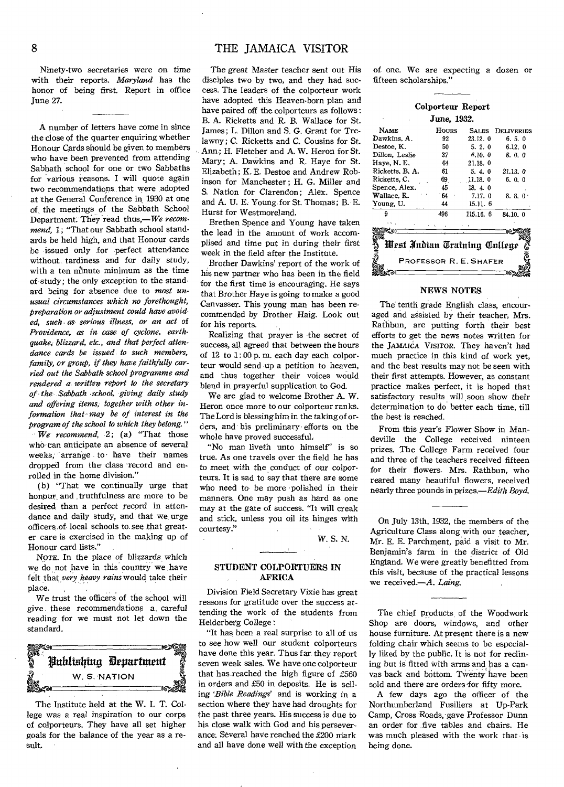# 8 THE JAMAICA VISITOR

Ninety-two secretaries were on time with their reports. *Maryland* has the honor of being first. Report in office June 27.

A number of letters have come in since the close of the quarter enquiring whether Honour Cards should be given to members who have been prevented from attending Sabbath school for one or two Sabbaths for various reasons. I will quote again two recommendations that were adopted at the General Conference in 1930 at one of, the meetings of the Sabbath School Department. They 'read thus,—We *recommend, 1;* "That our Sabbath school standards be held high, and that Honour cards be issued only for perfect attendance without tardiness and for daily study, with a ten minute minimum as the time of study; the only exception to the standard being for absence due to *most unusual circumstances which no forethought, preparation or adjustment could have avoided, such , as serious illness, or an act of Providence, as in case of cyclone, earthquake, blizzard, etc., and that perfect attendance cards be issued to such members, family, or group, if they have faithfully carried out the Sabbath school programme and rendered a written report to the secretary of the Sabbath ,school, giving daily study and offering items, together with other information that' may be of interest in the program of the school to which they belong."* 

*We recommend,* .2; (a) "That those who can anticipate an absence of several weeks, arrange to • have their names dropped from the class record and enrolled in the home division."

(b) "That we continually urge that honour, and truthfulness are more to be desired than a perfect record in attendance and daily study, and that we, urge officers .of local schools to, see that greater care is exercised in the making up of Honour card lists."

NOTE. In the place of blizzards which we do not have in this country we have felt that *very heavy rains* would take their place. ,

We trust the officers of the school will give these recommendations a, careful reading for we must not let down the standard.



The Institute held at the W. I. T. College was a real inspiration to our corps of colporteurs. They have all set higher goals for the balance of the year as a result.

The great Master teacher sent out His disciples two by two, and they had success. The leaders of the colporteur work have adopted this Heaven-born plan and have paired off the colporteurs as follows : B. A. Ricketts and R. B. Wallace for St. James; L. Dillon and S. G. Grant for Trelawny ; C. Ricketts and C. Cousins for St. Ann ; H. Fletcher and A. W. Heron for St. Mary; A. Dawkins and R. Haye for St. Elizabeth; K. E. Destoe and Andrew Robinson for Manchester; H. G. Miller and S. Nation for Clarendon; Alex. Spence and A. U. E. Young for St. Thomas; B. E. Hurst for Westmoreland.

Brethen Spence and Young have taken the lead in the amount of work accomplised and time put in during their first week in the field after the Institute.

Brother Dawkins' report of the work of his new partner who has been in the field for the first time is encouraging. He says that Brother Haye is going to make a good Canvasser. This young man has been recommended by Brother Haig. Look out for his reports.

Realizing that prayer is the secret of success, all agreed that between the hours of 12 to 1:00 p. m. each day each colporteur would send up a petition to heaven, and thus together their voices would blend in prayerful supplication to God.

We are glad to welcome Brother A. W. Heron once more to our colporteur ranks. The Lord is blessing him in the taking of orders, and his preliminary efforts on the whole have proved successful.

"No man liveth unto himself" is so true. As one travels over the field he has to meet with the conduct of our colporteurs. It is sad to say that there are some who need to be more polished in their manners. One may push as hard as one may at the gate of success. "It will creak and stick, unless you oil its hinges with courtesy."

W. S. N.

# STUDENT COLPORTUERS IN AFRICA

Division Field Secretary Vixie has great reasons for gratitude over the success attending the work of the students from Helderberg College :

"It has been a real surprise to all of us to see how well our student colporteurs have done this year. Thus far they report seven week sales. We have one colporteur that has reached the high figure of £560 in orders and £50 in deposits. He is selling *'Bible Readings'* and is working in a section where they have had droughts for the past three years. His success is due to his close walk with God and his perseverance. Several have reached the £200 mark and all have done well with the exception

of. one. We are expecting a dozen or fifteen scholarships."

| Colporteur Report                     |           |                              |
|---------------------------------------|-----------|------------------------------|
| June, 1932.                           |           |                              |
| <b>HOURS</b>                          | SALES.    | DELIVERIES                   |
| 92                                    | 23.12.0   | 6.5.0                        |
| 50                                    |           | 6.12.0                       |
| 37                                    |           | 8.0.0                        |
| 64                                    | 21.18.0   |                              |
| 61                                    | 5.4.0     | 21.13.0                      |
| 69                                    |           | 6.0.0                        |
| 45                                    | 18.4.0    |                              |
| 64                                    | 7.17. 0   | 8, 8, 0                      |
| 44                                    | 15.11. 6  |                              |
| 496                                   | 115.16. 6 | 84.10.0                      |
|                                       |           |                              |
| West Indian Training College          |           |                              |
| PROFESSOR R. E. SHAFER<br>16<br>. cal |           |                              |
|                                       |           | 5, 2, 0<br>6.10.0<br>11.18.0 |

# NEWS NOTES

The' tenth grade English class, encouraged and assisted by their teacher, Mrs. Rathbun, are putting forth their best efforts to get the news notes written for the JAMAICA VISITOR. They haven't had much practice in this kind of work yet, and the best results may not be seen with their first attempts. However, as constant practice makes perfect, it is hoped that satisfactory results will soon show their determination to do better each time, till the best is reached.

From this year's Flower Show in Mandeville the College received ninteen prizes. The College Farm received four and three of the teachers received fifteen for their flowers. Mrs. Rathbun, who reared many beautiful flowers, received nearly three pounds in *prizes.—Edith Boyd.* 

On July 13th, 1932, the members of the Agriculture Class along with our teacher, Mr. E. E. Parchment, paid a visit to Mr. Benjamin's farm in the district of Old England. We were greatly benefitted from this visit, because of the practical lessons we received.—A. *Laing.* 

The chief products of the Woodwork Shop are doors, windows, and other house furniture. At present there is a new folding chair which seems to be especially liked by the public. It is not for reclining but is fitted with arms and has a canvas back and bottom. TWenty have been sold and there are orders 'for fifty more.

A few days ago the officer of the Northumberland Fusiliers at Up-Park Camp, Cross 'Roads, gave Professor Dunn an order for five tables and chairs. He was much pleased with the work that is being done.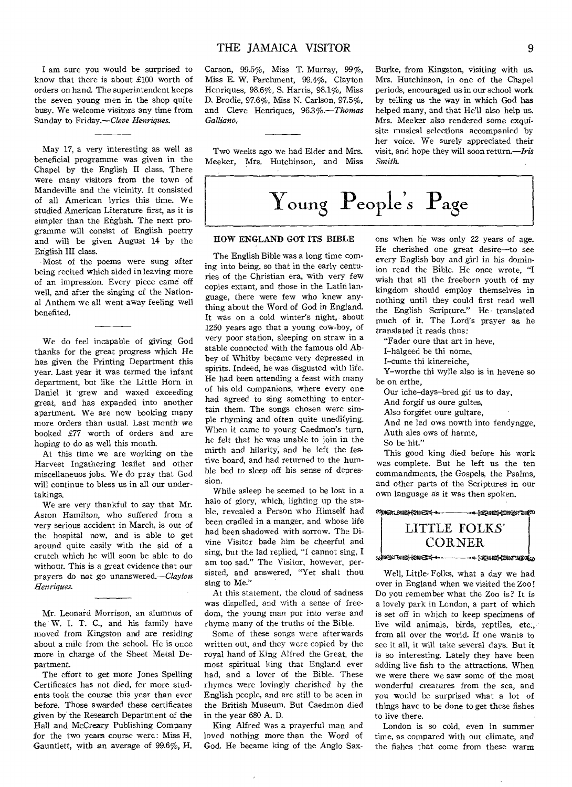I am sure you would be surprised to know that there is about £100 worth of orders on hand. The superintendent keeps the seven young men in the shop quite busy. We welcome visitors any time from Sunday to Friday.—Cleve *Henriques.* 

May 17, a very interesting as well as beneficial programme was given in the Chapel by the English II class. There were many visitors from the town of Mandeville and the vicinity. It consisted of all American lyrics this time. We studied American Literature first, as it is simpler than the English. The next programme will consist of English poetry and will be given August 14 by the English III class.

Most of the poems were sung after being recited which aided in leaving more of an impression. Every piece came off well, and after the singing of the National Anthem we all went away feeling well benefited.

We do feel incapable of giving God thanks for the great progress which He has given the Printing Department this year. Last year it was termed the infant department, but like the Little Horn in Daniel it grew and waxed exceeding great, and has expanded into another apartment. We are now booking many more orders than usual. Last month we booked *£77* worth of orders and are hoping to do as well this month.

At this time we are working on the Harvest Ingathering leaflet and other miscellaneuos jobs. We do pray that God will continue to bless us in all our undertakings.

We are very thankful to say that Mr. Aston Hamilton, who suffered from a very serious accident in March, is out of the hospital now, and is able to get around quite easily with the aid of a crutch which he will soon be able to do without. This is a great evidence that our prayers do not go unanswered.—Clayton *Henriques.* 

Mr. Leonard Morrison, an alumnus of the W. I. T. C., and his family have moved from Kingston and are residing about a mile from the school. He is once more in charge of the Sheet Metal Department.

The effort to get more Jones Spelling Certificates has not died, for more students took the course this year than ever before. Those awarded these certificates given by the Research Department of the Hall and McCreary Publishing Company for the two years course were: Miss H. Gauntlett, with an average of 99.6%, H. *Carson,* 99.5%, Miss T. Murray, 99%, Miss E. W. Parchment, 99.4%, Clayton Henriques, 98.6%, S. Harris, 98.1%, Miss D. Brodie, 97.6%, Miss N. Carlson, 97.5%, and Cleve Henriques, *96.3%.—Thomas Galliano.* 

Two weeks ago we had Elder and Mrs. Meeker, Mrs. Hutchinson, and Miss Burke, from Kingston, visiting with us. Mrs. Hutchinson, in one of the Chapel periods, encouraged us in our school work by telling us the way in which God has helped many, and that He'll also help us. Mrs. Meeker also rendered some exquisite musical selections accompanied by her voice. We surely appreciated their visit, and hope they will soon return.—Iris *Smith.* 

Young Peop**le***s* Page

# HOW ENGLAND GOT ITS BIBLE

The English Bible was a long time coming into being, so that in the early centuries of the Christian era, with very few copies extant, and those in the Latin language, there were few who knew anything about the Word of God in England. It was on a cold winter's night, about 1250 years ago that a young cow-boy, of very poor station, sleeping on straw in a stable connected with the famous old Abbey of Whitby became very depressed in spirits. Indeed, he was disgusted with life. He had been attending a feast with many of his old companions, where every one had agreed to sing something to entertain them. The songs chosen were simple rhyming and often quite unedifying. When it came to young Caedmon's turn, he felt that he was unable to join in the mirth and hilarity, and he left the festive board, and had returned to the humble bed to sleep off his sense of depression.

While asleep he seemed to be lost in a halo of glory, which, lighting up the stable, revealed a Person who Himself had been cradled in a manger, and whose life had been shadowed with sorrow. The Divine Visitor bade him be cheerful and sing, but the lad replied, "I cannot sing, I am too sad." The Visitor, however, persisted, and answered, "Yet shalt thou sing to Me."

At this statement, the cloud of sadness was dispelled, and with a sense of freedom, the young man put into *verse* and rhyme many of the truths of the Bible.

Some of these songs were afterwards written out, and they were copied by the royal hand of King Alfred the Great, the most spiritual king that England ever had, and a lover of the Bible. These rhymes were lovingly cherished by the English people, and are still to be seen in the British Museum. But Caedmon died in the year 680 A. D.

King Alfred was a prayerful man and loved nothing more than the Word of God. He became king of the Anglo Sax-

ons when he was only 22 years of age. He cherished one great desire—to see every English boy and girl in his dominion read the Bible. He once wrote, "I wish that all the freeborn youth of my kingdom should employ themselves in nothing until they could first read well the English Scripture." He translated much of it. The Lord's prayer as he translated it reads thus:

"Fader oure that art in heve,

I-halgeed be thi nome,

I-cume thi kinereiche,

Y-worthe thi wylle also is in hevene so be on erthe,

Our iche-days-bred gif us to day,

And forgif us oure gultes,

Also forgifet oure gultare,

And ne led ows nowth into fendyngge, Auth ales ows of harme,

So be hit."

This good king died before his work was complete. But he left us the ten commandments, the Gospels, the Psalms, and other parts of the Scriptures in our own language as it was then spoken.



Well, Little- Folks, what a day we had over in England when we visited the Zoo! Do you remember what the Zoo is? It is a lovely park in London, a part of which is set off in which to keep specimens of live wild animals, birds, reptiles, etc., from all over the world. If one wants to see it all, it will take several days. But it is so interesting. Lately they have been adding live fish to the attractions. When we were there we saw some of the most wonderful creatures from the sea, and you would be surprised what a lot of things have to be done to get these fishes to live there.

London is so cold, even in summer time, as compared with our climate, and the fishes that come from these warm